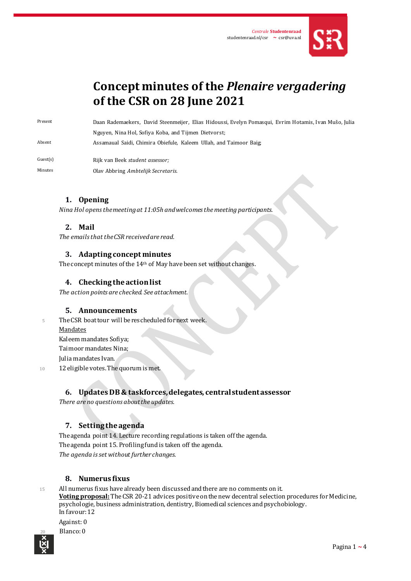

# **Concept minutes of the** *Plenaire vergadering* **of the CSR on 28 June 2021**

Present Daan Rademaekers, David Steenmeijer, Elias Hidoussi, Evelyn Pomasqui, Evrim Hotamis, Ivan Mušo, Julia Nguyen, Nina Hol, Sofiya Koba, and Tijmen Dietvorst; Absent Assamaual Saidi, Chimira Obiefule, Kaleem Ullah, and Taimoor Baig;

Guest(s) Rijk van Beek *student assessor;*

Minutes Olav Abbring *Ambtelijk Secretaris*.

## **1. Opening**

*Nina Hol opens the meeting at 11:05h and welcomes the meeting participants.* 

## **2. Mail**

*The emails that the CSR received are read.*

#### **3. Adapting concept minutes**

The concept minutes of the 14<sup>th</sup> of May have been set without changes.

#### **4. Checking the action list**

*The action points are checked. See attachment.*

#### **5. Announcements**

5 The CSR boat tour will be rescheduled for next week. Mandates Kaleem mandates Sofiya;

Taimoormandates Nina;

Julia mandates Ivan.

10 12 eligible votes. The quorum is met.

#### **6. Updates DB & taskforces, delegates, central student assessor**

*There are no questions about the updates.*

# **7. Setting the agenda**

The agenda point 14. Lecture recording regulations is taken off the agenda. The agenda point 15. Profiling fund is taken off the agenda. *The agenda is set without further changes.*

#### **8. Numerus fixus**

<sup>15</sup> All numerus fixus have already been discussed and there are no comments on it. **Voting proposal:** The CSR 20-21 advices positive on the new decentral selection procedures for Medicine, psychologie, business administration, dentistry, Biomedical sciences and psychobiology. In favour: 12

#### Against: 0

Blanco: 0

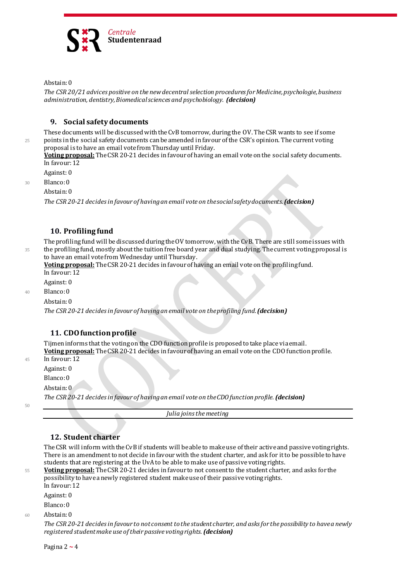

Abstain: 0

*The CSR 20/21 advices positive on the new decentral selection procedures for Medicine, psychologie, business administration, dentistry, Biomedical sciences and psychobiology. (decision)*

## **9. Social safety documents**

These documents will be discussed with the CvB tomorrow, during the OV. The CSR wants to see if some <sup>25</sup> points in the social safety documents can be amended in favour of the CSR's opinion. The current voting proposal is to have an email vote from Thursday until Friday.

**Voting proposal:** The CSR 20-21 decides in favour of having an email vote on the social safety documents. In favour: 12

Against: 0

<sup>30</sup> Blanco: 0

Abstain: 0

*The CSR 20-21 decides in favour of having an email vote on the social safety documents.(decision)*

## **10. Profiling fund**

The profiling fund will be discussed during the OV tomorrow, with the CvB. There are still some issues with <sup>35</sup> the profiling fund, mostly about the tuition free board year and dual studying. The current voting proposal is to have an email vote from Wednesday until Thursday.

**Voting proposal:** The CSR 20-21 decides in favour of having an email vote on the profiling fund. In favour: 12

Against: 0

<sup>40</sup> Blanco: 0

Abstain: 0

*The CSR 20-21 decides in favour of having an email vote on the profiling fund.(decision)*

# **11. CDO function profile**

Tijmen informs that the voting on the CDO function profile is proposed to take place via email. **Voting proposal:** The CSR 20-21 decides in favour of having an email vote on the CDO function profile. <sup>45</sup> In favour: 12

Against: 0

Blanco: 0

Abstain: 0

*The CSR 20-21 decides in favour of having an email vote on the CDO function profile.(decision)*

50

*Julia joins the meeting*

#### **12. Student charter**

The CSR will inform with the CvB if students will be able to make use of their active and passive voting rights. There is an amendment to not decide in favour with the student charter, and ask for it to be possible to have students that are registering at the UvA to be able to make use of passive voting rights.

<sup>55</sup> **Voting proposal:** The CSR 20-21 decides in favour to not consent to the student charter, and asks for the possibility to have a newly registered student make use of their passive voting rights. In favour: 12

Against: 0

Blanco: 0

<sup>60</sup> Abstain: 0

*The CSR 20-21 decides in favour to not consent to the student charter, and asks for the possibility to have a newly registered student make use of their passive voting rights.(decision)*

Pagina 2 **~** 4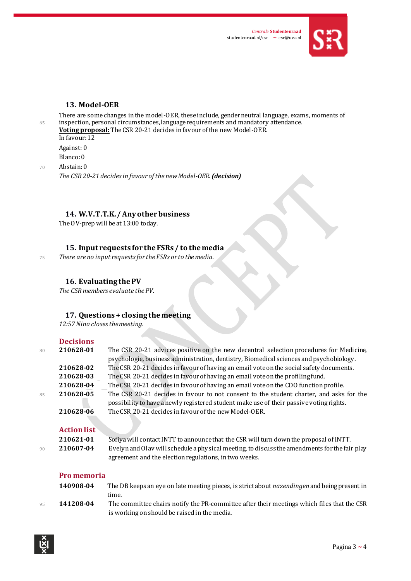

# **13. Model-OER**

There are some changes in the model-OER, these include, gender neutral language, exams, moments of <sup>65</sup> inspection, personal circumstances, language requirements and mandatory attendance.

**Voting proposal:** The CSR 20-21 decides in favour of the new Model-OER. In favour: 12

Against: 0 Blanco: 0

<sup>70</sup> Abstain: 0 *The CSR 20-21 decides in favour of the new Model-OER.(decision)*

## **14. W.V.T.T.K. / Any other business**

The OV-prep will be at 13:00 today.

# **15. Input requests for the FSRs / to the media**

<sup>75</sup> *There are no input requests for the FSRs or to the media.*

## **16. Evaluating the PV**

*The CSR members evaluate the PV.*

# **17. Questions + closing the meeting**

*12:57Nina closesthe meeting.*

|    | <b>Decisions</b>   |                                                                                                                                                                                    |
|----|--------------------|------------------------------------------------------------------------------------------------------------------------------------------------------------------------------------|
| 80 | 210628-01          | The CSR 20-21 advices positive on the new decentral selection procedures for Medicine,<br>psychologie, business administration, dentistry, Biomedical sciences and psychobiology.  |
|    | 210628-02          | The CSR 20-21 decides in favour of having an email vote on the social safety documents.                                                                                            |
|    | 210628-03          | The CSR 20-21 decides in favour of having an email vote on the profiling fund.                                                                                                     |
|    | 210628-04          | The CSR 20-21 decides in favour of having an email vote on the CDO function profile.                                                                                               |
| 85 | 210628-05          | The CSR 20-21 decides in favour to not consent to the student charter, and asks for the<br>possibility to have a newly registered student make use of their passive voting rights. |
|    | 210628-06          | The CSR 20-21 decides in favour of the new Model-OER.                                                                                                                              |
|    | <b>Action list</b> |                                                                                                                                                                                    |
|    | 210621-01          | Sofiya will contact INTT to announce that the CSR will turn down the proposal of INTT.                                                                                             |
| 90 | 210607-04          | Evelyn and Olav will schedule a physical meeting, to discuss the amendments for the fair play<br>agreement and the election regulations, in two weeks.                             |
|    | Pro memoria        |                                                                                                                                                                                    |
|    | 140908-04          | The DB keeps an eye on late meeting pieces, is strict about <i>nazendingen</i> and being present in                                                                                |

time. <sup>95</sup> **141208-04** The committee chairs notify the PR-committee after their meetings which files that the CSR is working on should be raised in the media.